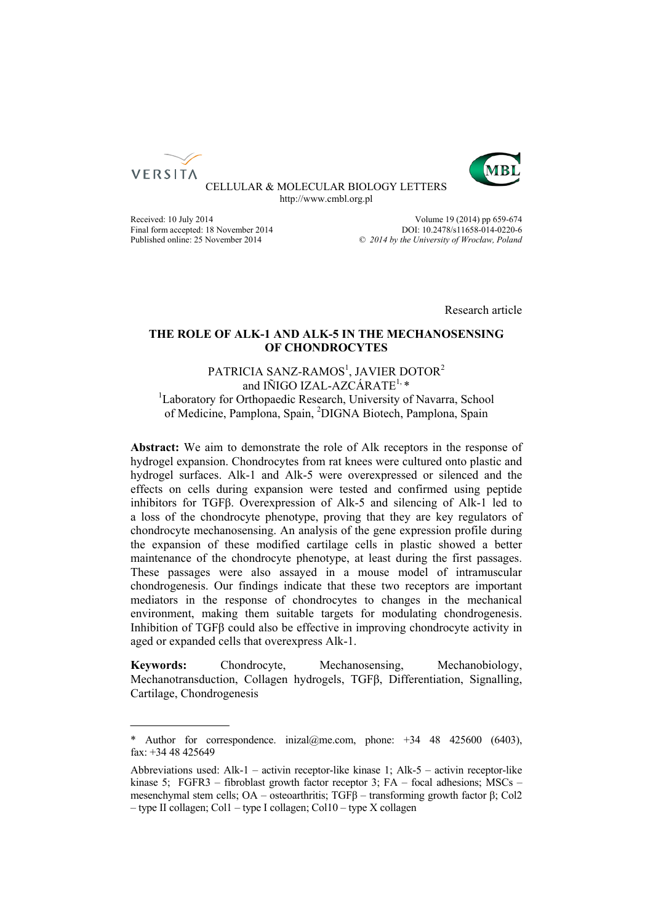



CELLULAR & MOLECULAR BIOLOGY LETTERS http://www.cmbl.org.pl

Final form accepted: 18 November 2014<br>Published online: 25 November 2014

Received: 10 July 2014<br>
Final form accepted: 18 November 2014<br>  $2014$ <br>
DOI: 10.2478/s11658-014-0220-6 Published online: 25 November 2014 *© 2014 by the University of Wrocław, Poland*

Research article

# **THE ROLE OF ALK-1 AND ALK-5 IN THE MECHANOSENSING OF CHONDROCYTES**

# PATRICIA SANZ-RAMOS<sup>1</sup>, JAVIER DOTOR<sup>2</sup> and IÑIGO IZAL-AZCÁRATE<sup>1,\*</sup> <sup>1</sup>Laboratory for Orthopaedic Research, University of Navarra, School of Medicine, Pamplona, Spain, <sup>2</sup>DIGNA Biotech, Pamplona, Spain

**Abstract:** We aim to demonstrate the role of Alk receptors in the response of hydrogel expansion. Chondrocytes from rat knees were cultured onto plastic and hydrogel surfaces. Alk-1 and Alk-5 were overexpressed or silenced and the effects on cells during expansion were tested and confirmed using peptide inhibitors for TGFβ. Overexpression of Alk-5 and silencing of Alk-1 led to a loss of the chondrocyte phenotype, proving that they are key regulators of chondrocyte mechanosensing. An analysis of the gene expression profile during the expansion of these modified cartilage cells in plastic showed a better maintenance of the chondrocyte phenotype, at least during the first passages. These passages were also assayed in a mouse model of intramuscular chondrogenesis. Our findings indicate that these two receptors are important mediators in the response of chondrocytes to changes in the mechanical environment, making them suitable targets for modulating chondrogenesis. Inhibition of TGFβ could also be effective in improving chondrocyte activity in aged or expanded cells that overexpress Alk-1.

**Keywords:** Chondrocyte, Mechanosensing, Mechanobiology, Mechanotransduction, Collagen hydrogels, TGFβ, Differentiation, Signalling, Cartilage, Chondrogenesis

<sup>\*</sup> Author for correspondence. inizal@me.com, phone:  $+34$  48 425600 (6403), fax: +34 48 425649

Abbreviations used: Alk-1 – activin receptor-like kinase 1; Alk-5 – activin receptor-like kinase 5; FGFR3 – fibroblast growth factor receptor 3; FA – focal adhesions; MSCs – mesenchymal stem cells; OA – osteoarthritis; TGFβ – transforming growth factor β; Col2 – type II collagen; Col1 – type I collagen; Col10 – type X collagen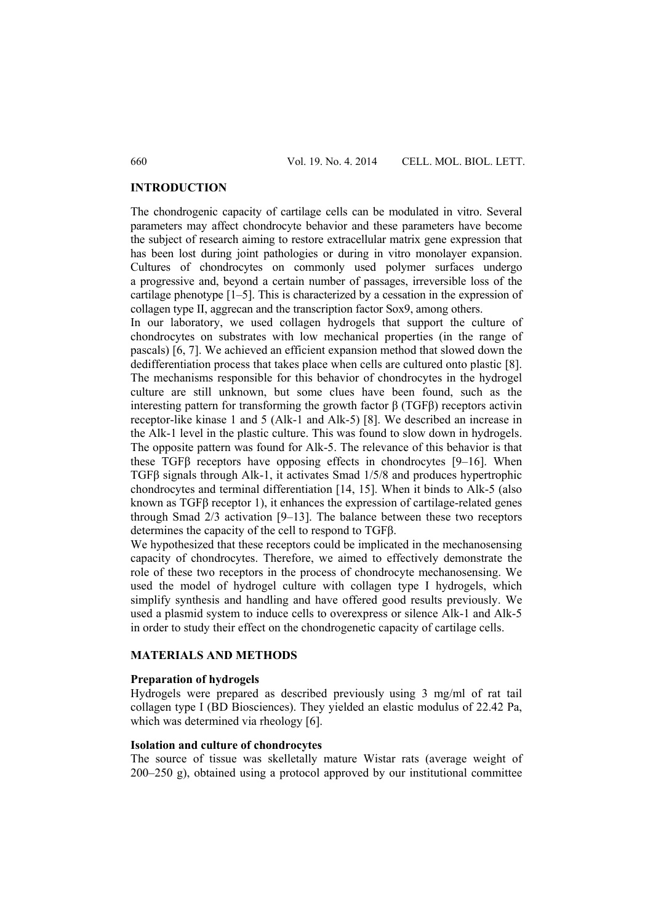#### **INTRODUCTION**

The chondrogenic capacity of cartilage cells can be modulated in vitro. Several parameters may affect chondrocyte behavior and these parameters have become the subject of research aiming to restore extracellular matrix gene expression that has been lost during joint pathologies or during in vitro monolayer expansion. Cultures of chondrocytes on commonly used polymer surfaces undergo a progressive and, beyond a certain number of passages, irreversible loss of the cartilage phenotype [1–5]. This is characterized by a cessation in the expression of collagen type II, aggrecan and the transcription factor Sox9, among others.

In our laboratory, we used collagen hydrogels that support the culture of chondrocytes on substrates with low mechanical properties (in the range of pascals) [6, 7]. We achieved an efficient expansion method that slowed down the dedifferentiation process that takes place when cells are cultured onto plastic [8]. The mechanisms responsible for this behavior of chondrocytes in the hydrogel culture are still unknown, but some clues have been found, such as the interesting pattern for transforming the growth factor β (TGFβ) receptors activin receptor-like kinase 1 and 5 (Alk-1 and Alk-5) [8]. We described an increase in the Alk-1 level in the plastic culture. This was found to slow down in hydrogels. The opposite pattern was found for Alk-5. The relevance of this behavior is that these TGFβ receptors have opposing effects in chondrocytes [9–16]. When TGFβ signals through Alk-1, it activates Smad 1/5/8 and produces hypertrophic chondrocytes and terminal differentiation [14, 15]. When it binds to Alk-5 (also known as TGFβ receptor 1), it enhances the expression of cartilage-related genes through Smad 2/3 activation [9–13]. The balance between these two receptors determines the capacity of the cell to respond to TGFβ.

We hypothesized that these receptors could be implicated in the mechanosensing capacity of chondrocytes. Therefore, we aimed to effectively demonstrate the role of these two receptors in the process of chondrocyte mechanosensing. We used the model of hydrogel culture with collagen type I hydrogels, which simplify synthesis and handling and have offered good results previously. We used a plasmid system to induce cells to overexpress or silence Alk-1 and Alk-5 in order to study their effect on the chondrogenetic capacity of cartilage cells.

### **MATERIALS AND METHODS**

#### **Preparation of hydrogels**

Hydrogels were prepared as described previously using 3 mg/ml of rat tail collagen type I (BD Biosciences). They yielded an elastic modulus of 22.42 Pa, which was determined via rheology [6].

### **Isolation and culture of chondrocytes**

The source of tissue was skelletally mature Wistar rats (average weight of 200–250 g), obtained using a protocol approved by our institutional committee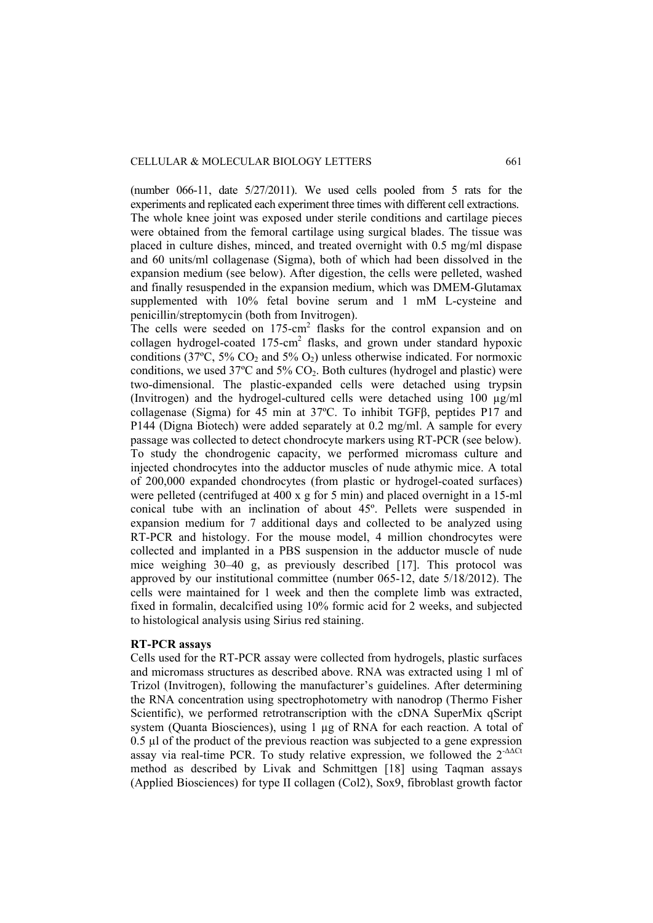(number 066-11, date 5/27/2011). We used cells pooled from 5 rats for the experiments and replicated each experiment three times with different cell extractions. The whole knee joint was exposed under sterile conditions and cartilage pieces were obtained from the femoral cartilage using surgical blades. The tissue was placed in culture dishes, minced, and treated overnight with 0.5 mg/ml dispase and 60 units/ml collagenase (Sigma), both of which had been dissolved in the expansion medium (see below). After digestion, the cells were pelleted, washed and finally resuspended in the expansion medium, which was DMEM-Glutamax supplemented with 10% fetal bovine serum and 1 mM L-cysteine and penicillin/streptomycin (both from Invitrogen).

The cells were seeded on 175-cm<sup>2</sup> flasks for the control expansion and on collagen hydrogel-coated  $175$ -cm<sup>2</sup> flasks, and grown under standard hypoxic conditions (37 $^{\circ}$ C, 5% CO<sub>2</sub> and 5% O<sub>2</sub>) unless otherwise indicated. For normoxic conditions, we used  $37^{\circ}$ C and  $5\%$  CO<sub>2</sub>. Both cultures (hydrogel and plastic) were two-dimensional. The plastic-expanded cells were detached using trypsin (Invitrogen) and the hydrogel-cultured cells were detached using 100 µg/ml collagenase (Sigma) for 45 min at 37ºC. To inhibit TGFβ, peptides P17 and P144 (Digna Biotech) were added separately at 0.2 mg/ml. A sample for every passage was collected to detect chondrocyte markers using RT-PCR (see below). To study the chondrogenic capacity, we performed micromass culture and injected chondrocytes into the adductor muscles of nude athymic mice. A total of 200,000 expanded chondrocytes (from plastic or hydrogel-coated surfaces) were pelleted (centrifuged at 400 x g for 5 min) and placed overnight in a 15-ml conical tube with an inclination of about 45º. Pellets were suspended in expansion medium for 7 additional days and collected to be analyzed using RT-PCR and histology. For the mouse model, 4 million chondrocytes were collected and implanted in a PBS suspension in the adductor muscle of nude mice weighing 30–40 g, as previously described [17]. This protocol was approved by our institutional committee (number 065-12, date 5/18/2012). The cells were maintained for 1 week and then the complete limb was extracted, fixed in formalin, decalcified using 10% formic acid for 2 weeks, and subjected to histological analysis using Sirius red staining.

#### **RT-PCR assays**

Cells used for the RT-PCR assay were collected from hydrogels, plastic surfaces and micromass structures as described above. RNA was extracted using 1 ml of Trizol (Invitrogen), following the manufacturer's guidelines. After determining the RNA concentration using spectrophotometry with nanodrop (Thermo Fisher Scientific), we performed retrotranscription with the cDNA SuperMix qScript system (Quanta Biosciences), using 1 µg of RNA for each reaction. A total of 0.5 µl of the product of the previous reaction was subjected to a gene expression assay via real-time PCR. To study relative expression, we followed the  $2<sup>-AACt</sup>$ method as described by Livak and Schmittgen [18] using Taqman assays (Applied Biosciences) for type II collagen (Col2), Sox9, fibroblast growth factor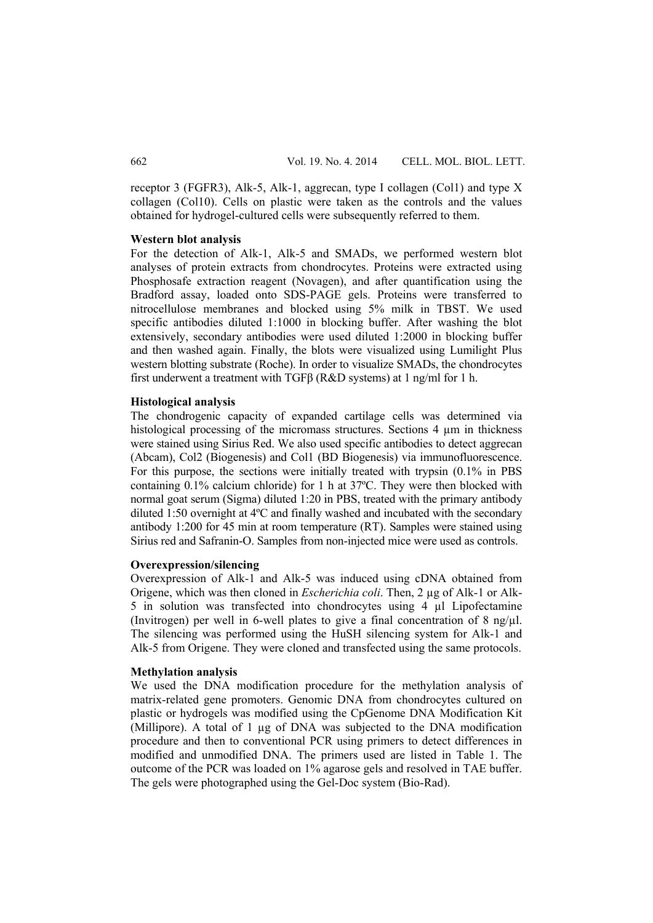receptor 3 (FGFR3), Alk-5, Alk-1, aggrecan, type I collagen (Col1) and type X collagen (Col10). Cells on plastic were taken as the controls and the values obtained for hydrogel-cultured cells were subsequently referred to them.

#### **Western blot analysis**

For the detection of Alk-1, Alk-5 and SMADs, we performed western blot analyses of protein extracts from chondrocytes. Proteins were extracted using Phosphosafe extraction reagent (Novagen), and after quantification using the Bradford assay, loaded onto SDS-PAGE gels. Proteins were transferred to nitrocellulose membranes and blocked using 5% milk in TBST. We used specific antibodies diluted 1:1000 in blocking buffer. After washing the blot extensively, secondary antibodies were used diluted 1:2000 in blocking buffer and then washed again. Finally, the blots were visualized using Lumilight Plus western blotting substrate (Roche). In order to visualize SMADs, the chondrocytes first underwent a treatment with TGFβ (R&D systems) at 1 ng/ml for 1 h.

#### **Histological analysis**

The chondrogenic capacity of expanded cartilage cells was determined via histological processing of the micromass structures. Sections 4  $\mu$ m in thickness were stained using Sirius Red. We also used specific antibodies to detect aggrecan (Abcam), Col2 (Biogenesis) and Col1 (BD Biogenesis) via immunofluorescence. For this purpose, the sections were initially treated with trypsin (0.1% in PBS containing 0.1% calcium chloride) for 1 h at 37ºC. They were then blocked with normal goat serum (Sigma) diluted 1:20 in PBS, treated with the primary antibody diluted 1:50 overnight at 4ºC and finally washed and incubated with the secondary antibody 1:200 for 45 min at room temperature (RT). Samples were stained using Sirius red and Safranin-O. Samples from non-injected mice were used as controls.

### **Overexpression/silencing**

Overexpression of Alk-1 and Alk-5 was induced using cDNA obtained from Origene, which was then cloned in *Escherichia coli*. Then, 2 µg of Alk-1 or Alk-5 in solution was transfected into chondrocytes using 4 µl Lipofectamine (Invitrogen) per well in 6-well plates to give a final concentration of 8 ng/µl. The silencing was performed using the HuSH silencing system for Alk-1 and Alk-5 from Origene. They were cloned and transfected using the same protocols.

#### **Methylation analysis**

We used the DNA modification procedure for the methylation analysis of matrix-related gene promoters. Genomic DNA from chondrocytes cultured on plastic or hydrogels was modified using the CpGenome DNA Modification Kit (Millipore). A total of 1 µg of DNA was subjected to the DNA modification procedure and then to conventional PCR using primers to detect differences in modified and unmodified DNA. The primers used are listed in Table 1. The outcome of the PCR was loaded on 1% agarose gels and resolved in TAE buffer. The gels were photographed using the Gel-Doc system (Bio-Rad).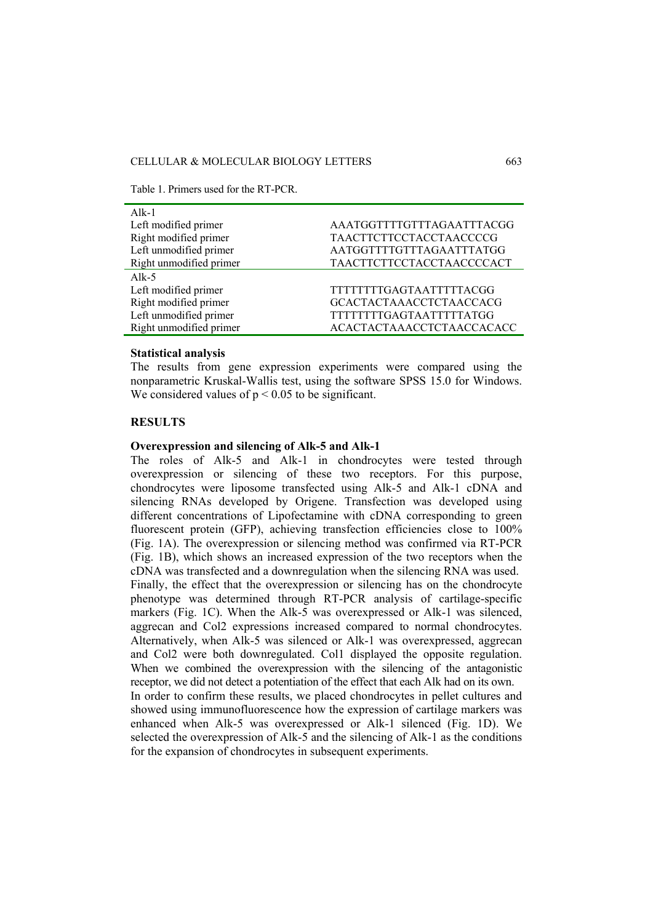Table 1. Primers used for the RT-PCR.

| $Alk-1$                 |                                  |
|-------------------------|----------------------------------|
| Left modified primer    | AAATGGTTTTGTTTAGAATTTACGG        |
| Right modified primer   | <b>TAACTTCTTCCTACCTAACCCCG</b>   |
| Left unmodified primer  | AATGGTTTTGTTTAGAATTTATGG         |
| Right unmodified primer | <b>TAACTTCTTCCTACCTAACCCCACT</b> |
| Alk-5                   |                                  |
| Left modified primer    | <b>TTTTTTTTGAGTAATTTTTACGG</b>   |
| Right modified primer   | <b>GCACTACTAAACCTCTAACCACG</b>   |
| Left unmodified primer  | <b>TTTTTTTTGAGTAATTTTTATGG</b>   |
| Right unmodified primer | ACACTACTAAACCTCTAACCACACC        |

## **Statistical analysis**

The results from gene expression experiments were compared using the nonparametric Kruskal-Wallis test, using the software SPSS 15.0 for Windows. We considered values of  $p < 0.05$  to be significant.

### **RESULTS**

## **Overexpression and silencing of Alk-5 and Alk-1**

The roles of Alk-5 and Alk-1 in chondrocytes were tested through overexpression or silencing of these two receptors. For this purpose, chondrocytes were liposome transfected using Alk-5 and Alk-1 cDNA and silencing RNAs developed by Origene. Transfection was developed using different concentrations of Lipofectamine with cDNA corresponding to green fluorescent protein (GFP), achieving transfection efficiencies close to 100% (Fig. 1A). The overexpression or silencing method was confirmed via RT-PCR (Fig. 1B), which shows an increased expression of the two receptors when the cDNA was transfected and a downregulation when the silencing RNA was used. Finally, the effect that the overexpression or silencing has on the chondrocyte phenotype was determined through RT-PCR analysis of cartilage-specific markers (Fig. 1C). When the Alk-5 was overexpressed or Alk-1 was silenced, aggrecan and Col2 expressions increased compared to normal chondrocytes. Alternatively, when Alk-5 was silenced or Alk-1 was overexpressed, aggrecan and Col2 were both downregulated. Col1 displayed the opposite regulation. When we combined the overexpression with the silencing of the antagonistic receptor, we did not detect a potentiation of the effect that each Alk had on its own. In order to confirm these results, we placed chondrocytes in pellet cultures and showed using immunofluorescence how the expression of cartilage markers was enhanced when Alk-5 was overexpressed or Alk-1 silenced (Fig. 1D). We selected the overexpression of Alk-5 and the silencing of Alk-1 as the conditions for the expansion of chondrocytes in subsequent experiments.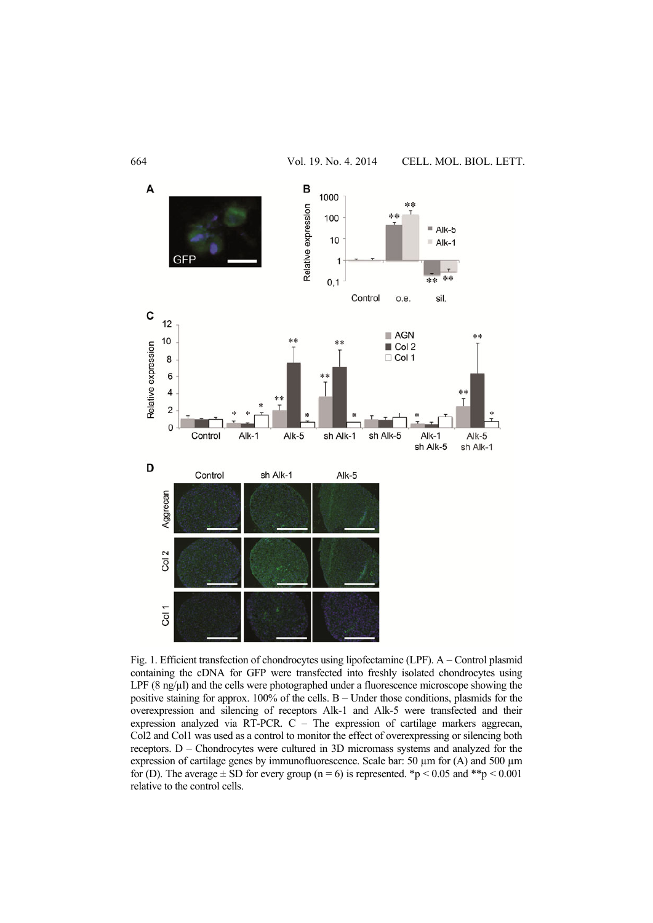

Fig. 1. Efficient transfection of chondrocytes using lipofectamine (LPF). A – Control plasmid containing the cDNA for GFP were transfected into freshly isolated chondrocytes using LPF  $(8 \text{ ng/u})$  and the cells were photographed under a fluorescence microscope showing the positive staining for approx. 100% of the cells. B – Under those conditions, plasmids for the overexpression and silencing of receptors Alk-1 and Alk-5 were transfected and their expression analyzed via RT-PCR. C – The expression of cartilage markers aggrecan, Col2 and Col1 was used as a control to monitor the effect of overexpressing or silencing both receptors. D – Chondrocytes were cultured in 3D micromass systems and analyzed for the expression of cartilage genes by immunofluorescence. Scale bar: 50  $\mu$ m for (A) and 500  $\mu$ m for (D). The average  $\pm$  SD for every group (n = 6) is represented. \*p < 0.05 and \*\*p < 0.001 relative to the control cells.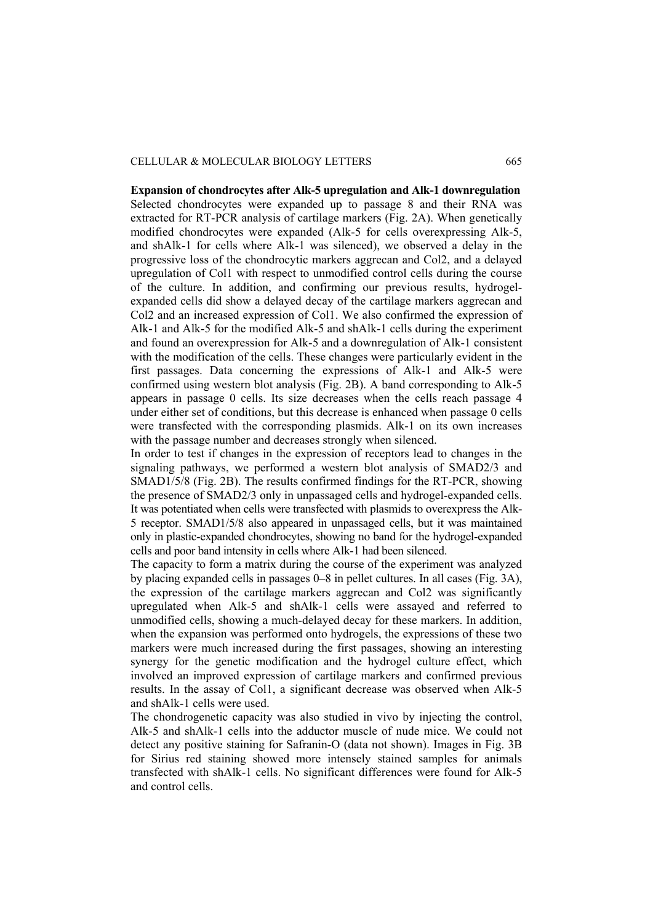#### CELLULAR & MOLECULAR BIOLOGY LETTERS 665

**Expansion of chondrocytes after Alk-5 upregulation and Alk-1 downregulation**  Selected chondrocytes were expanded up to passage 8 and their RNA was extracted for RT-PCR analysis of cartilage markers (Fig. 2A). When genetically modified chondrocytes were expanded (Alk-5 for cells overexpressing Alk-5, and shAlk-1 for cells where Alk-1 was silenced), we observed a delay in the progressive loss of the chondrocytic markers aggrecan and Col2, and a delayed upregulation of Col1 with respect to unmodified control cells during the course of the culture. In addition, and confirming our previous results, hydrogelexpanded cells did show a delayed decay of the cartilage markers aggrecan and Col2 and an increased expression of Col1. We also confirmed the expression of Alk-1 and Alk-5 for the modified Alk-5 and shAlk-1 cells during the experiment and found an overexpression for Alk-5 and a downregulation of Alk-1 consistent with the modification of the cells. These changes were particularly evident in the first passages. Data concerning the expressions of Alk-1 and Alk-5 were confirmed using western blot analysis (Fig. 2B). A band corresponding to Alk-5 appears in passage 0 cells. Its size decreases when the cells reach passage 4 under either set of conditions, but this decrease is enhanced when passage 0 cells were transfected with the corresponding plasmids. Alk-1 on its own increases with the passage number and decreases strongly when silenced.

In order to test if changes in the expression of receptors lead to changes in the signaling pathways, we performed a western blot analysis of SMAD2/3 and SMAD1/5/8 (Fig. 2B). The results confirmed findings for the RT-PCR, showing the presence of SMAD2/3 only in unpassaged cells and hydrogel-expanded cells. It was potentiated when cells were transfected with plasmids to overexpress the Alk-5 receptor. SMAD1/5/8 also appeared in unpassaged cells, but it was maintained only in plastic-expanded chondrocytes, showing no band for the hydrogel-expanded cells and poor band intensity in cells where Alk-1 had been silenced.

The capacity to form a matrix during the course of the experiment was analyzed by placing expanded cells in passages 0–8 in pellet cultures. In all cases (Fig. 3A), the expression of the cartilage markers aggrecan and Col2 was significantly upregulated when Alk-5 and shAlk-1 cells were assayed and referred to unmodified cells, showing a much-delayed decay for these markers. In addition, when the expansion was performed onto hydrogels, the expressions of these two markers were much increased during the first passages, showing an interesting synergy for the genetic modification and the hydrogel culture effect, which involved an improved expression of cartilage markers and confirmed previous results. In the assay of Col1, a significant decrease was observed when Alk-5 and shAlk-1 cells were used.

The chondrogenetic capacity was also studied in vivo by injecting the control, Alk-5 and shAlk-1 cells into the adductor muscle of nude mice. We could not detect any positive staining for Safranin-O (data not shown). Images in Fig. 3B for Sirius red staining showed more intensely stained samples for animals transfected with shAlk-1 cells. No significant differences were found for Alk-5 and control cells.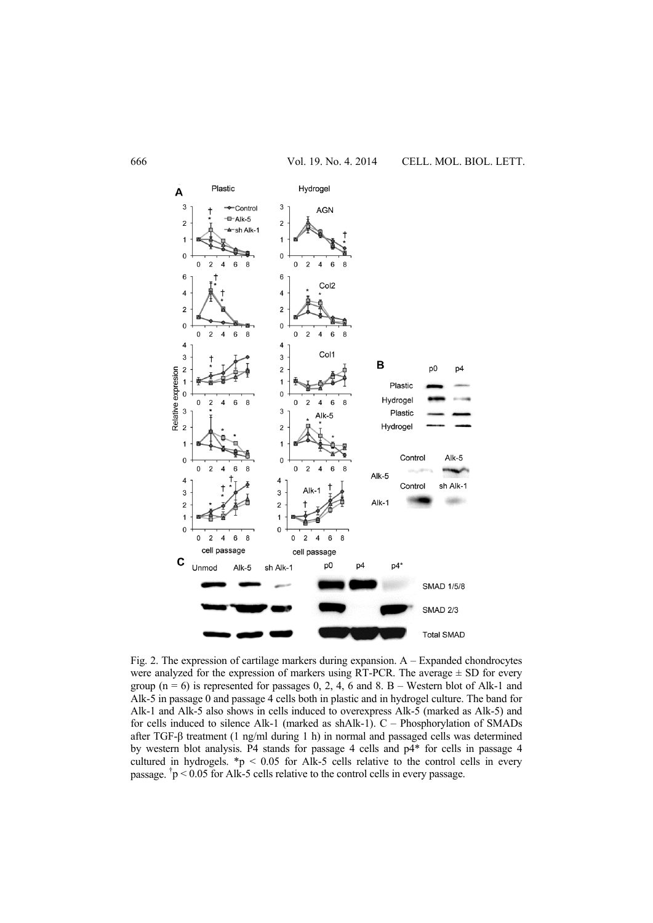

Fig. 2. The expression of cartilage markers during expansion. A – Expanded chondrocytes were analyzed for the expression of markers using RT-PCR. The average  $\pm$  SD for every group ( $n = 6$ ) is represented for passages 0, 2, 4, 6 and 8. B – Western blot of Alk-1 and Alk-5 in passage 0 and passage 4 cells both in plastic and in hydrogel culture. The band for Alk-1 and Alk-5 also shows in cells induced to overexpress Alk-5 (marked as Alk-5) and for cells induced to silence Alk-1 (marked as shAlk-1). C – Phosphorylation of SMADs after TGF-β treatment (1 ng/ml during 1 h) in normal and passaged cells was determined by western blot analysis. P4 stands for passage 4 cells and p4\* for cells in passage 4 cultured in hydrogels.  $\mathbf{\hat{p}}$  < 0.05 for Alk-5 cells relative to the control cells in every passage.  $\dot{p}$  < 0.05 for Alk-5 cells relative to the control cells in every passage.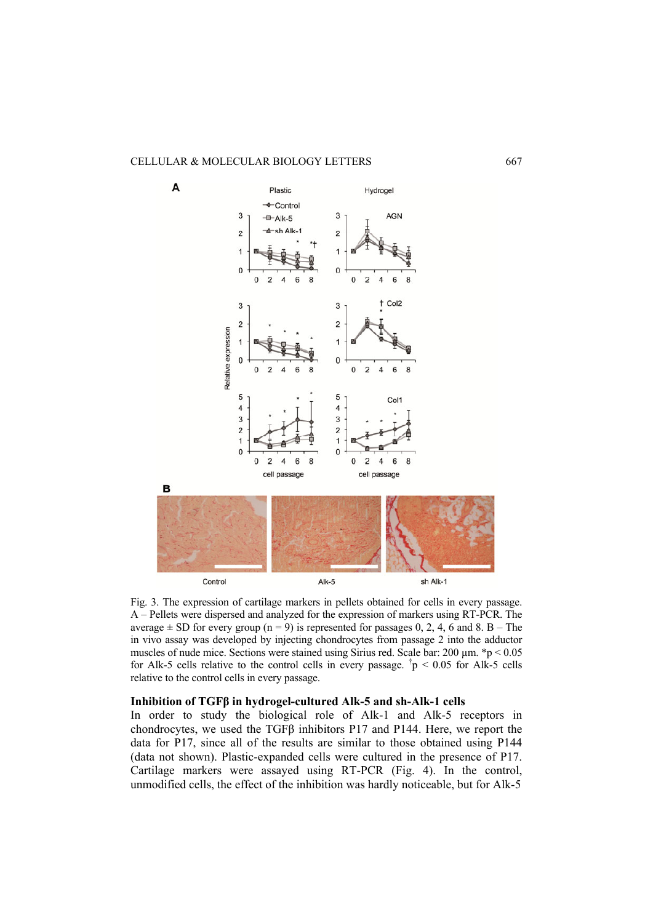### CELLULAR & MOLECULAR BIOLOGY LETTERS 667



Fig. 3. The expression of cartilage markers in pellets obtained for cells in every passage. A – Pellets were dispersed and analyzed for the expression of markers using RT-PCR. The average  $\pm$  SD for every group (n = 9) is represented for passages 0, 2, 4, 6 and 8. B – The in vivo assay was developed by injecting chondrocytes from passage 2 into the adductor muscles of nude mice. Sections were stained using Sirius red. Scale bar: 200  $\mu$ m. \*p < 0.05 for Alk-5 cells relative to the control cells in every passage.  $\dot{p}$  < 0.05 for Alk-5 cells relative to the control cells in every passage.

### **Inhibition of TGFβ in hydrogel-cultured Alk-5 and sh-Alk-1 cells**

In order to study the biological role of Alk-1 and Alk-5 receptors in chondrocytes, we used the TGFβ inhibitors P17 and P144. Here, we report the data for P17, since all of the results are similar to those obtained using P144 (data not shown). Plastic-expanded cells were cultured in the presence of P17. Cartilage markers were assayed using RT-PCR (Fig. 4). In the control, unmodified cells, the effect of the inhibition was hardly noticeable, but for Alk-5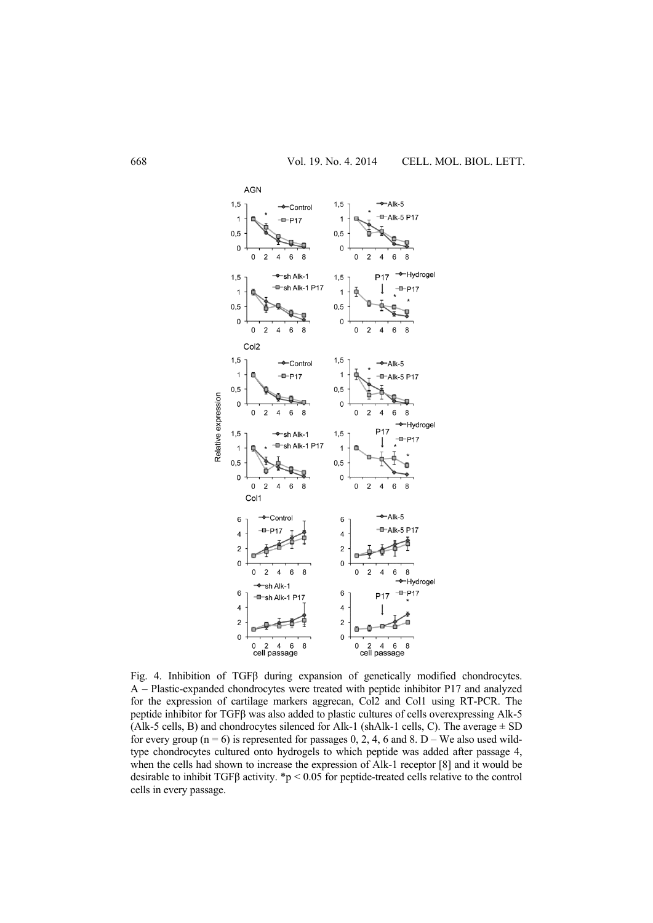

Fig. 4. Inhibition of TGFβ during expansion of genetically modified chondrocytes. A – Plastic-expanded chondrocytes were treated with peptide inhibitor P17 and analyzed for the expression of cartilage markers aggrecan, Col2 and Col1 using RT-PCR. The peptide inhibitor for TGFβ was also added to plastic cultures of cells overexpressing Alk-5 (Alk-5 cells, B) and chondrocytes silenced for Alk-1 (shAlk-1 cells, C). The average  $\pm$  SD for every group ( $n = 6$ ) is represented for passages 0, 2, 4, 6 and 8. D – We also used wildtype chondrocytes cultured onto hydrogels to which peptide was added after passage 4, when the cells had shown to increase the expression of Alk-1 receptor [8] and it would be desirable to inhibit TGFβ activity. \*p < 0.05 for peptide-treated cells relative to the control cells in every passage.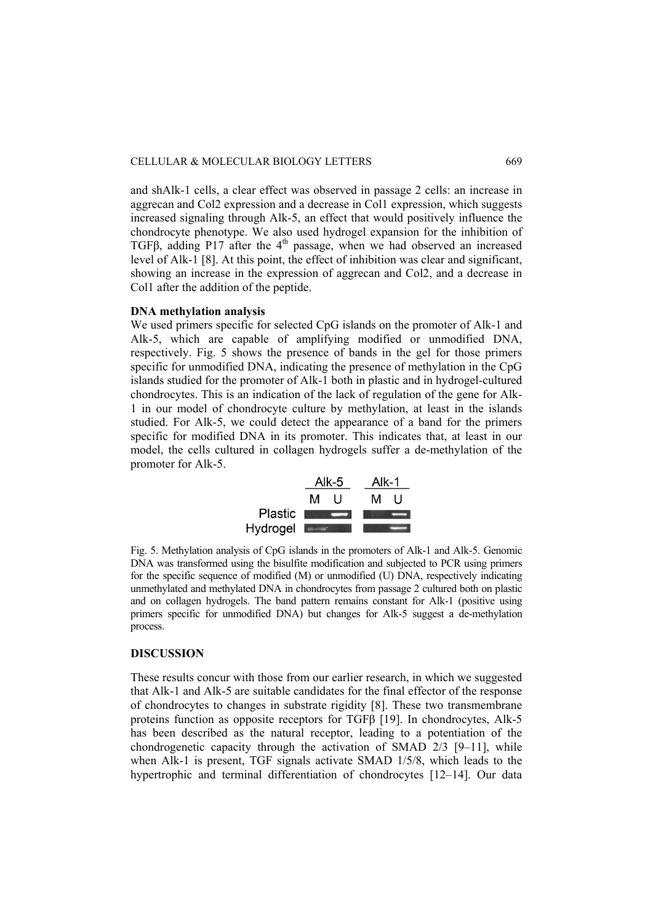and shAlk-1 cells, a clear effect was observed in passage 2 cells: an increase in aggrecan and Col2 expression and a decrease in Col1 expression, which suggests increased signaling through Alk-5, an effect that would positively influence the chondrocyte phenotype. We also used hydrogel expansion for the inhibition of TGFβ, adding P17 after the 4<sup>th</sup> passage, when we had observed an increased level of Alk-1 [8]. At this point, the effect of inhibition was clear and significant, showing an increase in the expression of aggrecan and Col2, and a decrease in Col1 after the addition of the peptide.

# **DNA methylation analysis**

We used primers specific for selected CpG islands on the promoter of Alk-1 and Alk-5, which are capable of amplifying modified or unmodified DNA, respectively. Fig. 5 shows the presence of bands in the gel for those primers specific for unmodified DNA, indicating the presence of methylation in the CpG islands studied for the promoter of Alk-1 both in plastic and in hydrogel-cultured chondrocytes. This is an indication of the lack of regulation of the gene for Alk-1 in our model of chondrocyte culture by methylation, at least in the islands studied. For Alk-5, we could detect the appearance of a band for the primers specific for modified DNA in its promoter. This indicates that, at least in our model, the cells cultured in collagen hydrogels suffer a de-methylation of the promoter for Alk-5.



Fig. 5. Methylation analysis of CpG islands in the promoters of Alk-1 and Alk-5. Genomic DNA was transformed using the bisulfite modification and subjected to PCR using primers for the specific sequence of modified (M) or unmodified (U) DNA, respectively indicating unmethylated and methylated DNA in chondrocytes from passage 2 cultured both on plastic and on collagen hydrogels. The band pattern remains constant for Alk-1 (positive using primers specific for unmodified DNA) but changes for Alk-5 suggest a de-methylation process.

# **DISCUSSION**

These results concur with those from our earlier research, in which we suggested that Alk-1 and Alk-5 are suitable candidates for the final effector of the response of chondrocytes to changes in substrate rigidity [8]. These two transmembrane proteins function as opposite receptors for TGFβ [19]. In chondrocytes, Alk-5 has been described as the natural receptor, leading to a potentiation of the chondrogenetic capacity through the activation of SMAD 2/3 [9–11], while when Alk-1 is present, TGF signals activate SMAD 1/5/8, which leads to the hypertrophic and terminal differentiation of chondrocytes [12–14]. Our data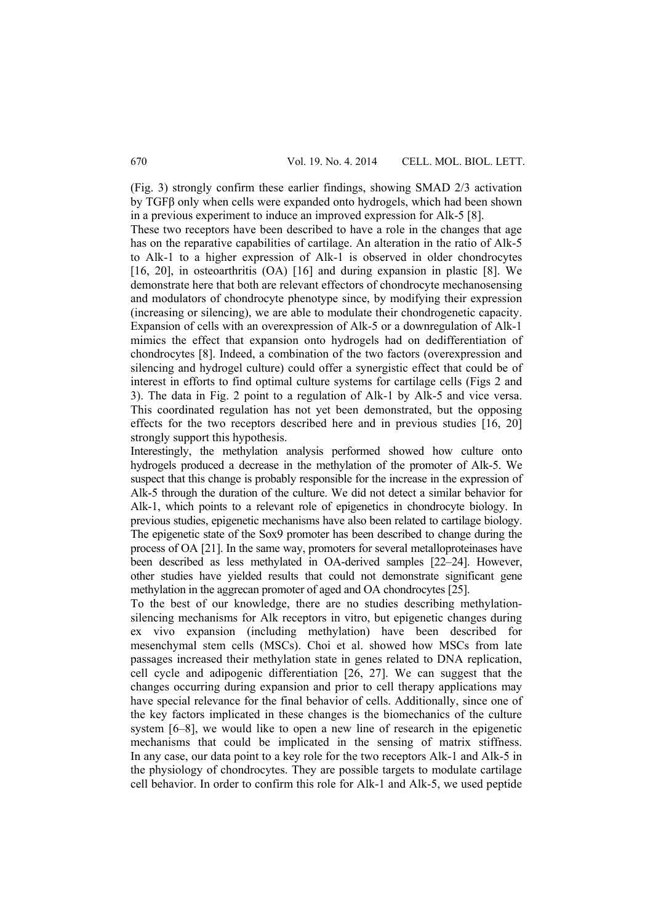(Fig. 3) strongly confirm these earlier findings, showing SMAD 2/3 activation by TGFβ only when cells were expanded onto hydrogels, which had been shown in a previous experiment to induce an improved expression for Alk-5 [8].

These two receptors have been described to have a role in the changes that age has on the reparative capabilities of cartilage. An alteration in the ratio of Alk-5 to Alk-1 to a higher expression of Alk-1 is observed in older chondrocytes [16, 20], in osteoarthritis (OA) [16] and during expansion in plastic [8]. We demonstrate here that both are relevant effectors of chondrocyte mechanosensing and modulators of chondrocyte phenotype since, by modifying their expression (increasing or silencing), we are able to modulate their chondrogenetic capacity. Expansion of cells with an overexpression of Alk-5 or a downregulation of Alk-1 mimics the effect that expansion onto hydrogels had on dedifferentiation of chondrocytes [8]. Indeed, a combination of the two factors (overexpression and silencing and hydrogel culture) could offer a synergistic effect that could be of interest in efforts to find optimal culture systems for cartilage cells (Figs 2 and 3). The data in Fig. 2 point to a regulation of Alk-1 by Alk-5 and vice versa. This coordinated regulation has not yet been demonstrated, but the opposing effects for the two receptors described here and in previous studies [16, 20] strongly support this hypothesis.

Interestingly, the methylation analysis performed showed how culture onto hydrogels produced a decrease in the methylation of the promoter of Alk-5. We suspect that this change is probably responsible for the increase in the expression of Alk-5 through the duration of the culture. We did not detect a similar behavior for Alk-1, which points to a relevant role of epigenetics in chondrocyte biology. In previous studies, epigenetic mechanisms have also been related to cartilage biology. The epigenetic state of the Sox9 promoter has been described to change during the process of OA [21]. In the same way, promoters for several metalloproteinases have been described as less methylated in OA-derived samples [22–24]. However, other studies have yielded results that could not demonstrate significant gene methylation in the aggrecan promoter of aged and OA chondrocytes [25].

To the best of our knowledge, there are no studies describing methylationsilencing mechanisms for Alk receptors in vitro, but epigenetic changes during ex vivo expansion (including methylation) have been described for mesenchymal stem cells (MSCs). Choi et al. showed how MSCs from late passages increased their methylation state in genes related to DNA replication, cell cycle and adipogenic differentiation [26, 27]. We can suggest that the changes occurring during expansion and prior to cell therapy applications may have special relevance for the final behavior of cells. Additionally, since one of the key factors implicated in these changes is the biomechanics of the culture system [6–8], we would like to open a new line of research in the epigenetic mechanisms that could be implicated in the sensing of matrix stiffness. In any case, our data point to a key role for the two receptors Alk-1 and Alk-5 in the physiology of chondrocytes. They are possible targets to modulate cartilage cell behavior. In order to confirm this role for Alk-1 and Alk-5, we used peptide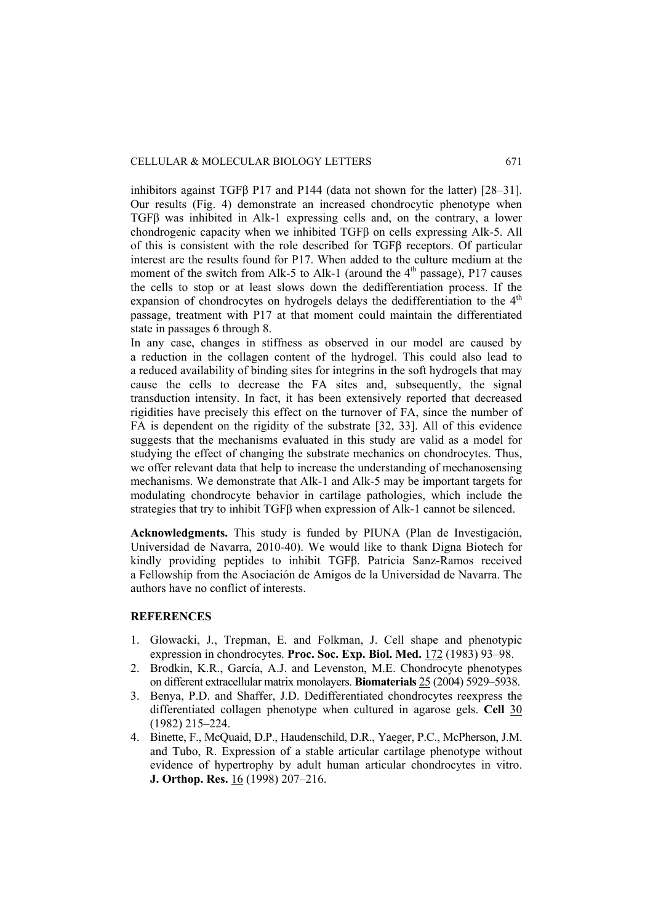inhibitors against TGFβ P17 and P144 (data not shown for the latter) [28–31]. Our results (Fig. 4) demonstrate an increased chondrocytic phenotype when TGFβ was inhibited in Alk-1 expressing cells and, on the contrary, a lower chondrogenic capacity when we inhibited TGFβ on cells expressing Alk-5. All of this is consistent with the role described for TGFβ receptors. Of particular interest are the results found for P17. When added to the culture medium at the moment of the switch from Alk-5 to Alk-1 (around the  $4<sup>th</sup>$  passage), P17 causes the cells to stop or at least slows down the dedifferentiation process. If the expansion of chondrocytes on hydrogels delays the dedifferentiation to the  $4<sup>th</sup>$ passage, treatment with P17 at that moment could maintain the differentiated state in passages 6 through 8.

In any case, changes in stiffness as observed in our model are caused by a reduction in the collagen content of the hydrogel. This could also lead to a reduced availability of binding sites for integrins in the soft hydrogels that may cause the cells to decrease the FA sites and, subsequently, the signal transduction intensity. In fact, it has been extensively reported that decreased rigidities have precisely this effect on the turnover of FA, since the number of FA is dependent on the rigidity of the substrate [32, 33]. All of this evidence suggests that the mechanisms evaluated in this study are valid as a model for studying the effect of changing the substrate mechanics on chondrocytes. Thus, we offer relevant data that help to increase the understanding of mechanosensing mechanisms. We demonstrate that Alk-1 and Alk-5 may be important targets for modulating chondrocyte behavior in cartilage pathologies, which include the strategies that try to inhibit TGFβ when expression of Alk-1 cannot be silenced.

**Acknowledgments.** This study is funded by PIUNA (Plan de Investigación, Universidad de Navarra, 2010-40). We would like to thank Digna Biotech for kindly providing peptides to inhibit TGFβ. Patricia Sanz-Ramos received a Fellowship from the Asociación de Amigos de la Universidad de Navarra. The authors have no conflict of interests.

# **REFERENCES**

- 1. Glowacki, J., Trepman, E. and Folkman, J. Cell shape and phenotypic expression in chondrocytes. **Proc. Soc. Exp. Biol. Med.** 172 (1983) 93–98.
- 2. Brodkin, K.R., García, A.J. and Levenston, M.E. Chondrocyte phenotypes on different extracellular matrix monolayers. **Biomaterials** 25 (2004) 5929–5938.
- 3. Benya, P.D. and Shaffer, J.D. Dedifferentiated chondrocytes reexpress the differentiated collagen phenotype when cultured in agarose gels. **Cell** 30 (1982) 215–224.
- 4. Binette, F., McQuaid, D.P., Haudenschild, D.R., Yaeger, P.C., McPherson, J.M. and Tubo, R. Expression of a stable articular cartilage phenotype without evidence of hypertrophy by adult human articular chondrocytes in vitro. **J. Orthop. Res.** 16 (1998) 207–216.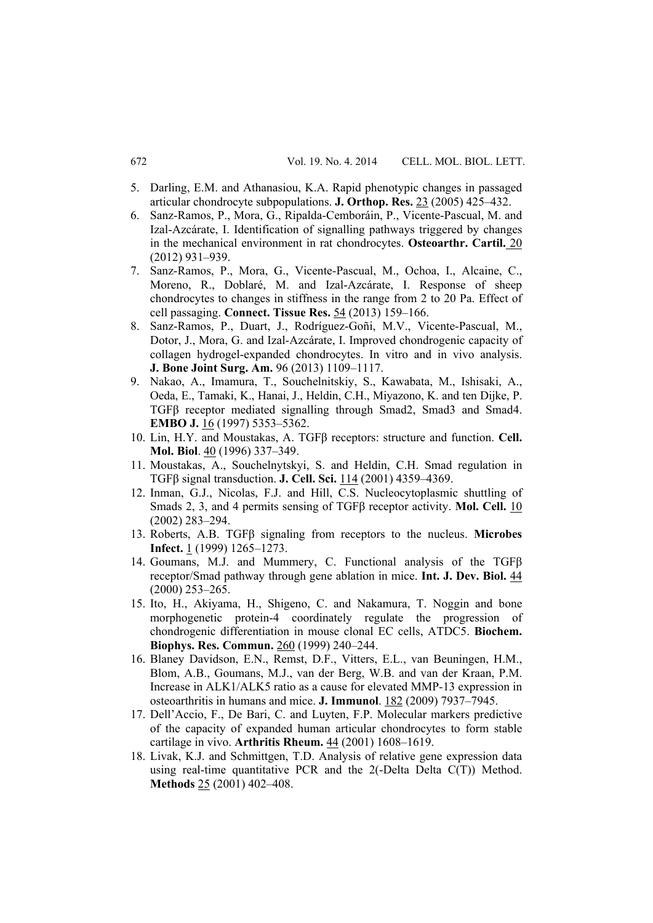- 5. Darling, E.M. and Athanasiou, K.A. Rapid phenotypic changes in passaged articular chondrocyte subpopulations. **J. Orthop. Res.** 23 (2005) 425–432.
- 6. Sanz-Ramos, P., Mora, G., Ripalda-Cemboráin, P., Vicente-Pascual, M. and Izal-Azcárate, I. Identification of signalling pathways triggered by changes in the mechanical environment in rat chondrocytes. **Osteoarthr. Cartil.** 20 (2012) 931–939.
- 7. Sanz-Ramos, P., Mora, G., Vicente-Pascual, M., Ochoa, I., Alcaine, C., Moreno, R., Doblaré, M. and Izal-Azcárate, I. Response of sheep chondrocytes to changes in stiffness in the range from 2 to 20 Pa. Effect of cell passaging. **Connect. Tissue Res.** 54 (2013) 159–166.
- 8. Sanz-Ramos, P., Duart, J., Rodríguez-Goñi, M.V., Vicente-Pascual, M., Dotor, J., Mora, G. and Izal-Azcárate, I. Improved chondrogenic capacity of collagen hydrogel-expanded chondrocytes. In vitro and in vivo analysis. **J. Bone Joint Surg. Am.** 96 (2013) 1109–1117.
- 9. Nakao, A., Imamura, T., Souchelnitskiy, S., Kawabata, M., Ishisaki, A., Oeda, E., Tamaki, K., Hanai, J., Heldin, C.H., Miyazono, K. and ten Dijke, P. TGFβ receptor mediated signalling through Smad2, Smad3 and Smad4. **EMBO J.** 16 (1997) 5353-5362.
- 10. Lin, H.Y. and Moustakas, A. TGFβ receptors: structure and function. **Cell. Mol. Biol**. 40 (1996) 337–349.
- 11. Moustakas, A., Souchelnytskyi, S. and Heldin, C.H. Smad regulation in TGFβ signal transduction. **J. Cell. Sci.** 114 (2001) 4359–4369.
- 12. Inman, G.J., Nicolas, F.J. and Hill, C.S. Nucleocytoplasmic shuttling of Smads 2, 3, and 4 permits sensing of TGFβ receptor activity. **Mol. Cell.** 10 (2002) 283–294.
- 13. Roberts, A.B. TGFβ signaling from receptors to the nucleus. **Microbes Infect.** 1 (1999) 1265–1273.
- 14. Goumans, M.J. and Mummery, C. Functional analysis of the TGFβ receptor/Smad pathway through gene ablation in mice. **Int. J. Dev. Biol.** 44 (2000) 253–265.
- 15. Ito, H., Akiyama, H., Shigeno, C. and Nakamura, T. Noggin and bone morphogenetic protein-4 coordinately regulate the progression of chondrogenic differentiation in mouse clonal EC cells, ATDC5. **Biochem. Biophys. Res. Commun.** 260 (1999) 240–244.
- 16. Blaney Davidson, E.N., Remst, D.F., Vitters, E.L., van Beuningen, H.M., Blom, A.B., Goumans, M.J., van der Berg, W.B. and van der Kraan, P.M. Increase in ALK1/ALK5 ratio as a cause for elevated MMP-13 expression in osteoarthritis in humans and mice. **J. Immunol**. 182 (2009) 7937–7945.
- 17. Dell'Accio, F., De Bari, C. and Luyten, F.P. Molecular markers predictive of the capacity of expanded human articular chondrocytes to form stable cartilage in vivo. **Arthritis Rheum.** 44 (2001) 1608–1619.
- 18. Livak, K.J. and Schmittgen, T.D. Analysis of relative gene expression data using real-time quantitative PCR and the 2(-Delta Delta C(T)) Method. **Methods** 25 (2001) 402–408.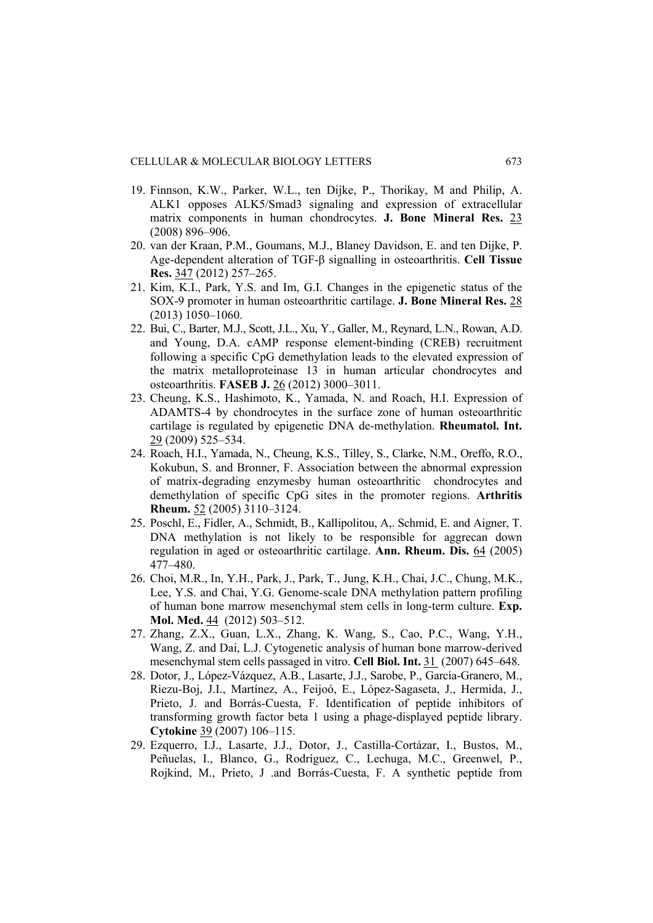- 19. Finnson, K.W., Parker, W.L., ten Dijke, P., Thorikay, M and Philip, A. ALK1 opposes ALK5/Smad3 signaling and expression of extracellular matrix components in human chondrocytes. **J. Bone Mineral Res.** 23 (2008) 896–906.
- 20. van der Kraan, P.M., Goumans, M.J., Blaney Davidson, E. and ten Dijke, P. Age-dependent alteration of TGF-β signalling in osteoarthritis. **Cell Tissue Res.** 347 (2012) 257–265.
- 21. Kim, K.I., Park, Y.S. and Im, G.I. Changes in the epigenetic status of the SOX-9 promoter in human osteoarthritic cartilage. **J. Bone Mineral Res.** 28 (2013) 1050–1060.
- 22. Bui, C., Barter, M.J., Scott, J.L., Xu, Y., Galler, M., Reynard, L.N., Rowan, A.D. and Young, D.A. cAMP response element-binding (CREB) recruitment following a specific CpG demethylation leads to the elevated expression of the matrix metalloproteinase 13 in human articular chondrocytes and osteoarthritis. **FASEB J.** 26 (2012) 3000–3011.
- 23. Cheung, K.S., Hashimoto, K., Yamada, N. and Roach, H.I. Expression of ADAMTS-4 by chondrocytes in the surface zone of human osteoarthritic cartilage is regulated by epigenetic DNA de-methylation. **Rheumatol. Int.** 29 (2009) 525–534.
- 24. Roach, H.I., Yamada, N., Cheung, K.S., Tilley, S., Clarke, N.M., Oreffo, R.O., Kokubun, S. and Bronner, F. Association between the abnormal expression of matrix-degrading enzymesby human osteoarthritic chondrocytes and demethylation of specific CpG sites in the promoter regions. **Arthritis Rheum.** 52 (2005) 3110–3124.
- 25. Poschl, E., Fidler, A., Schmidt, B., Kallipolitou, A,. Schmid, E. and Aigner, T. DNA methylation is not likely to be responsible for aggrecan down regulation in aged or osteoarthritic cartilage. **Ann. Rheum. Dis.** 64 (2005) 477–480.
- 26. Choi, M.R., In, Y.H., Park, J., Park, T., Jung, K.H., Chai, J.C., Chung, M.K., Lee, Y.S. and Chai, Y.G. Genome-scale DNA methylation pattern profiling of human bone marrow mesenchymal stem cells in long-term culture. **Exp. Mol. Med.** 44 (2012) 503–512.
- 27. Zhang, Z.X., Guan, L.X., Zhang, K. Wang, S., Cao, P.C., Wang, Y.H., Wang, Z. and Dai, L.J. Cytogenetic analysis of human bone marrow-derived mesenchymal stem cells passaged in vitro. **Cell Biol. Int.** 31 (2007) 645–648.
- 28. Dotor, J., López-Vázquez, A.B., Lasarte, J.J., Sarobe, P., García-Granero, M., Riezu-Boj, J.I., Martínez, A., Feijoó, E., López-Sagaseta, J., Hermida, J., Prieto, J. and Borrás-Cuesta, F. Identification of peptide inhibitors of transforming growth factor beta 1 using a phage-displayed peptide library. **Cytokine** 39 (2007) 106–115.
- 29. Ezquerro, I.J., Lasarte, J.J., Dotor, J., Castilla-Cortázar, I., Bustos, M., Peñuelas, I., Blanco, G., Rodríguez, C., Lechuga, M.C., Greenwel, P., Rojkind, M., Prieto, J .and Borrás-Cuesta, F. A synthetic peptide from